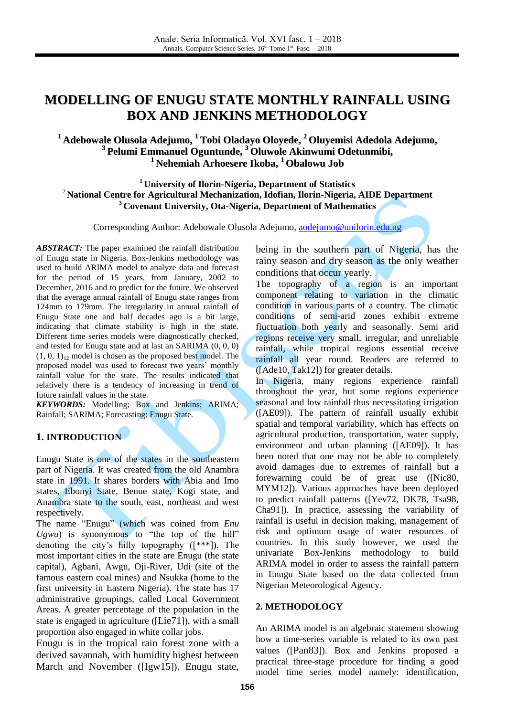# **MODELLING OF ENUGU STATE MONTHLY RAINFALL USING BOX AND JENKINS METHODOLOGY**

## **<sup>1</sup> Adebowale Olusola Adejumo, <sup>1</sup> Tobi Oladayo Oloyede, <sup>2</sup> Oluyemisi Adedola Adejumo, 3 Pelumi Emmanuel Oguntunde, <sup>3</sup> Oluwole Akinwumi Odetunmibi, <sup>1</sup> Nehemiah Arhoesere Ikoba, <sup>1</sup> Obalowu Job**

**<sup>1</sup> University of Ilorin-Nigeria, Department of Statistics** <sup>2</sup> **National Centre for Agricultural Mechanization, Idofian, Ilorin-Nigeria, AIDE Department <sup>3</sup> Covenant University, Ota-Nigeria, Department of Mathematics**

Corresponding Author: Adebowale Olusola Adejumo, [aodejumo@unilorin.edu.ng](mailto:aodejumo@unilorin.edu.ng)

*ABSTRACT:* The paper examined the rainfall distribution of Enugu state in Nigeria. Box-Jenkins methodology was used to build ARIMA model to analyze data and forecast for the period of 15 years, from January, 2002 to December, 2016 and to predict for the future. We observed that the average annual rainfall of Enugu state ranges from 124mm to 179mm. The irregularity in annual rainfall of Enugu State one and half decades ago is a bit large, indicating that climate stability is high in the state. Different time series models were diagnostically checked, and tested for Enugu state and at last an SARIMA (0, 0, 0)  $(1, 0, 1)_{12}$  model is chosen as the proposed best model. The proposed model was used to forecast two years' monthly rainfall value for the state. The results indicated that relatively there is a tendency of increasing in trend of future rainfall values in the state.

*KEYWORDS:* Modelling; Box and Jenkins; ARIMA; Rainfall; SARIMA; Forecasting; Enugu State.

## **1. INTRODUCTION**

Enugu State is one of the states in the southeastern part of Nigeria. It was created from the old Anambra state in 1991. It shares borders with Abia and Imo states, Ebonyi State, Benue state, Kogi state, and Anambra state to the south, east, northeast and west respectively.

The name "Enugu" (which was coined from *Enu Ugwu*) is synonymous to "the top of the hill" denoting the city's hilly topography ([\*\*\*]). The most important cities in the state are Enugu (the state capital), Agbani, Awgu, Oji-River, Udi (site of the famous eastern coal mines) and Nsukka (home to the first university in Eastern Nigeria). The state has 17 administrative groupings, called Local Government Areas. A greater percentage of the population in the state is engaged in agriculture ([Lie71]), with a small proportion also engaged in white collar jobs.

Enugu is in the tropical rain forest zone with a derived savannah, with humidity highest between March and November ([Igw15]). Enugu state, being in the southern part of Nigeria, has the rainy season and dry season as the only weather conditions that occur yearly.

The topography of a region is an important component relating to variation in the climatic condition in various parts of a country. The climatic conditions of semi-arid zones exhibit extreme fluctuation both yearly and seasonally. Semi arid regions receive very small, irregular, and unreliable rainfall, while tropical regions essential receive rainfall all year round. Readers are referred to ([Ade10, Tak12]) for greater details.

In Nigeria, many regions experience rainfall throughout the year, but some regions experience seasonal and low rainfall thus necessitating irrigation ([AE09]). The pattern of rainfall usually exhibit spatial and temporal variability, which has effects on agricultural production, transportation, water supply, environment and urban planning ([AE09]). It has been noted that one may not be able to completely avoid damages due to extremes of rainfall but a forewarning could be of great use ([Nic80, MYM12]). Various approaches have been deployed to predict rainfall patterns ([Yev72, DK78, Tsa98, Cha91]). In practice, assessing the variability of rainfall is useful in decision making, management of risk and optimum usage of water resources of countries. In this study however, we used the univariate Box-Jenkins methodology to build ARIMA model in order to assess the rainfall pattern in Enugu State based on the data collected from Nigerian Meteorological Agency.

### **2. METHODOLOGY**

An ARIMA model is an algebraic statement showing how a time-series variable is related to its own past values ([Pan83]). Box and Jenkins proposed a practical three-stage procedure for finding a good model time series model namely: identification,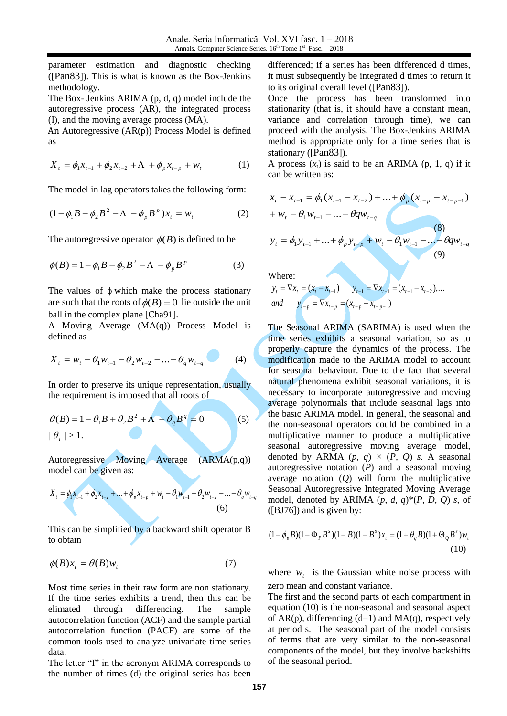parameter estimation and diagnostic checking ([Pan83]). This is what is known as the Box-Jenkins methodology.

The Box- Jenkins ARIMA (p, d, q) model include the autoregressive process (AR), the integrated process (I), and the moving average process (MA).

An Autoregressive (AR(p)) Process Model is defined as

$$
X_{t} = \phi_{1}x_{t-1} + \phi_{2}x_{t-2} + \Lambda + \phi_{p}x_{t-p} + w_{t}
$$
 (1)

The model in lag operators takes the following form:

$$
(1 - \phi_1 B - \phi_2 B^2 - \Lambda - \phi_p B^p) x_t = w_t
$$
 (2)

The autoregressive operator  $\phi(B)$  is defined to be

$$
\phi(B) = 1 - \phi_1 B - \phi_2 B^2 - \Lambda - \phi_p B^p
$$
 (3)

The values of  $\phi$  which make the process stationary are such that the roots of  $\phi(B) = 0$  lie outside the unit ball in the complex plane [Cha91].

A Moving Average (MA(q)) Process Model is defined as

$$
X_{t} = w_{t} - \theta_{1} w_{t-1} - \theta_{2} w_{t-2} - \dots - \theta_{q} w_{t-q}
$$
 (4)

In order to preserve its unique representation, usually the requirement is imposed that all roots of

$$
\theta(B) = 1 + \theta_1 B + \theta_2 B^2 + \Lambda + \theta_q B^q = 0
$$
  
  $|\theta_i| > 1.$  (5)

Autoregressive Moving Average (ARMA(p,q)) model can be given as:

$$
X_{t} = \phi_{1}x_{t-1} + \phi_{2}x_{t-2} + \dots + \phi_{p}x_{t-p} + w_{t} - \theta_{1}w_{t-1} - \theta_{2}w_{t-2} - \dots - \theta_{q}w_{t-q}
$$
\n(6)

This can be simplified by a backward shift operator B to obtain

$$
\phi(B)x_t = \theta(B)w_t \tag{7}
$$

Most time series in their raw form are non stationary. If the time series exhibits a trend, then this can be elimated through differencing. The sample autocorrelation function (ACF) and the sample partial autocorrelation function (PACF) are some of the common tools used to analyze univariate time series data.

The letter "I" in the acronym ARIMA corresponds to the number of times (d) the original series has been

differenced; if a series has been differenced d times, it must subsequently be integrated d times to return it to its original overall level ([Pan83]).

Once the process has been transformed into stationarity (that is, it should have a constant mean, variance and correlation through time), we can proceed with the analysis. The Box-Jenkins ARIMA method is appropriate only for a time series that is stationary ([Pan83]).

A process  $(x_t)$  is said to be an ARIMA (p, 1, q) if it can be written as:

$$
x_{t} - x_{t-1} = \phi_{1}(x_{t-1} - x_{t-2}) + ... + \phi_{p}(x_{t-p} - x_{t-p-1})
$$
  
+  $w_{t} - \theta_{1}w_{t-1} - ... - \theta_{q}w_{t-q}$   
 $y_{t} = \phi_{1}y_{t-1} + ... + \phi_{p}y_{t-p} + w_{t} - \theta_{1}w_{t-1} - ... - \theta_{q}w_{t-q}$   
(8)  
(9)

Where:

$$
y_t = \nabla x_t = (x_t - x_{t-1})
$$
  $y_{t-1} = \nabla x_{t-1} = (x_{t-1} - x_{t-2}),...$   
and  $y_{t-p} = \nabla x_{t-p} = (x_{t-p} - x_{t-p-1})$ 

The Seasonal ARIMA (SARIMA) is used when the time series exhibits a seasonal variation, so as to properly capture the dynamics of the process. The modification made to the ARIMA model to account for seasonal behaviour. Due to the fact that several natural phenomena exhibit seasonal variations, it is necessary to incorporate autoregressive and moving average polynomials that include seasonal lags into the basic ARIMA model. In general, the seasonal and the non-seasonal operators could be combined in a multiplicative manner to produce a multiplicative seasonal autoregressive moving average model, denoted by ARMA  $(p, q) \times (P, Q)$  *s*. A seasonal autoregressive notation (*P*) and a seasonal moving average notation (*Q*) will form the multiplicative Seasonal Autoregressive Integrated Moving Average model, denoted by ARIMA  $(p, d, q)^*(P, D, Q)$  *s*, of ([BJ76]) and is given by:

$$
(1 - \phi_p B)(1 - \Phi_p B^s)(1 - B)(1 - B^s)x_t = (1 + \theta_q B)(1 + \Theta_{\mathcal{Q}} B^s)w_t
$$
\n(10)

where  $w_t$  is the Gaussian white noise process with zero mean and constant variance.

The first and the second parts of each compartment in equation (10) is the non-seasonal and seasonal aspect of  $AR(p)$ , differencing  $(d=1)$  and  $MA(q)$ , respectively at period s. The seasonal part of the model consists of terms that are very similar to the non-seasonal components of the model, but they involve backshifts of the seasonal period.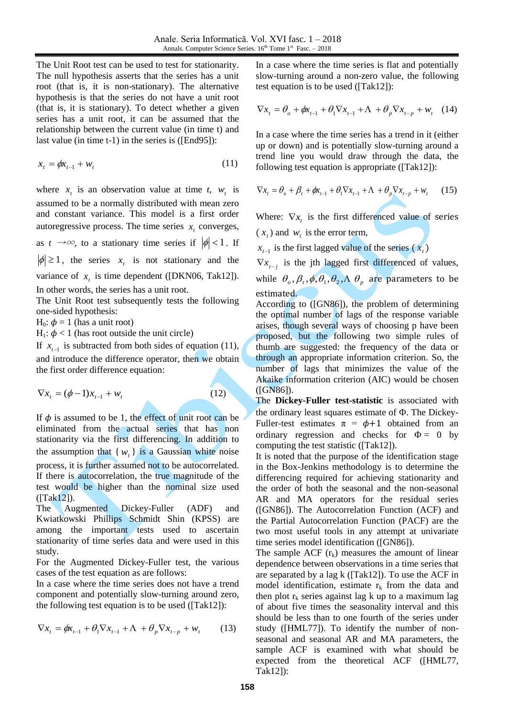The Unit Root test can be used to test for stationarity. The null hypothesis asserts that the series has a unit root (that is, it is non-stationary). The alternative hypothesis is that the series do not have a unit root (that is, it is stationary). To detect whether a given series has a unit root, it can be assumed that the relationship between the current value (in time t) and last value (in time t-1) in the series is ([End95]):

$$
x_t = \phi x_{t-1} + w_t \tag{11}
$$

where  $x_t$  is an observation value at time *t*,  $w_t$  is assumed to be a normally distributed with mean zero and constant variance. This model is a first order autoregressive process. The time series  $x_t$  converges, as  $t \to \infty$ , to a stationary time series if  $|\phi| < 1$ . If  $|\phi| \ge 1$ , the series  $x_t$  is not stationary and the variance of  $x_t$  is time dependent ([DKN06, Tak12]). In other words, the series has a unit root.

The Unit Root test subsequently tests the following one-sided hypothesis:

 $H_0$ :  $\phi = 1$  (has a unit root)

 $H_1$ :  $\phi$  < 1 (has root outside the unit circle)

If  $x_{t-1}$  is subtracted from both sides of equation (11), and introduce the difference operator, then we obtain the first order difference equation:

$$
\nabla x_t = (\phi - 1)x_{t-1} + w_t \tag{12}
$$

If  $\phi$  is assumed to be 1, the effect of unit root can be eliminated from the actual series that has non stationarity via the first differencing. In addition to the assumption that  $\{w_t\}$  is a Gaussian white noise process, it is further assumed not to be autocorrelated. If there is autocorrelation, the true magnitude of the

test would be higher than the nominal size used  $(Tak12)$ ).

The Augmented Dickey-Fuller (ADF) and Kwiatkowski Phillips Schmidt Shin (KPSS) are among the important tests used to ascertain stationarity of time series data and were used in this study.

For the Augmented Dickey-Fuller test, the various cases of the test equation as are follows:

In a case where the time series does not have a trend component and potentially slow-turning around zero, the following test equation is to be used ([Tak12]):

$$
\nabla x_t = \phi x_{t-1} + \theta_1 \nabla x_{t-1} + \Lambda + \theta_p \nabla x_{t-p} + w_t \tag{13}
$$

In a case where the time series is flat and potentially slow-turning around a non-zero value, the following test equation is to be used ([Tak12]):

$$
\nabla x_t = \theta_o + \phi x_{t-1} + \theta_1 \nabla x_{t-1} + \Lambda + \theta_p \nabla x_{t-p} + w_t \quad (14)
$$

In a case where the time series has a trend in it (either up or down) and is potentially slow-turning around a trend line you would draw through the data, the following test equation is appropriate ([Tak12]):

$$
\nabla x_t = \theta_o + \beta_t + \phi x_{t-1} + \theta_1 \nabla x_{t-1} + \Lambda + \theta_p \nabla x_{t-p} + w_t \qquad (15)
$$

Where:  $\nabla x_i$  is the first differenced value of series  $(x<sub>t</sub>)$  and  $w<sub>t</sub>$  is the error term,

 $x_{t-1}$  is the first lagged value of the series  $(x_t)$ 

 $\nabla x_{t-j}$  is the jth lagged first differenced of values, while  $\theta_o$ ,  $\beta_t$ ,  $\phi$ ,  $\theta_1$ ,  $\theta_2$ ,  $\Lambda$   $\theta_p$  are parameters to be estimated.

According to ([GN86]), the problem of determining the optimal number of lags of the response variable arises, though several ways of choosing p have been proposed, but the following two simple rules of thumb are suggested: the frequency of the data or through an appropriate information criterion. So, the number of lags that minimizes the value of the Akaike information criterion (AIC) would be chosen ([GN86]).

The **Dickey-Fuller test-statistic** is associated with the ordinary least squares estimate of  $\Phi$ . The Dickey-Fuller-test estimates  $\pi = \phi + 1$  obtained from an ordinary regression and checks for  $\Phi = 0$  by computing the test statistic ([Tak12]).

It is noted that the purpose of the identification stage in the Box-Jenkins methodology is to determine the differencing required for achieving stationarity and the order of both the seasonal and the non-seasonal AR and MA operators for the residual series ([GN86]). The Autocorrelation Function (ACF) and the Partial Autocorrelation Function (PACF) are the two most useful tools in any attempt at univariate time series model identification ([GN86]).

The sample ACF  $(r_k)$  measures the amount of linear dependence between observations in a time series that are separated by a lag k ([Tak12]). To use the ACF in model identification, estimate  $r_k$  from the data and then plot  $r_k$  series against lag k up to a maximum lag of about five times the seasonality interval and this should be less than to one fourth of the series under study ([HML77]). To identify the number of nonseasonal and seasonal AR and MA parameters, the sample ACF is examined with what should be expected from the theoretical ACF ([HML77, Tak12]):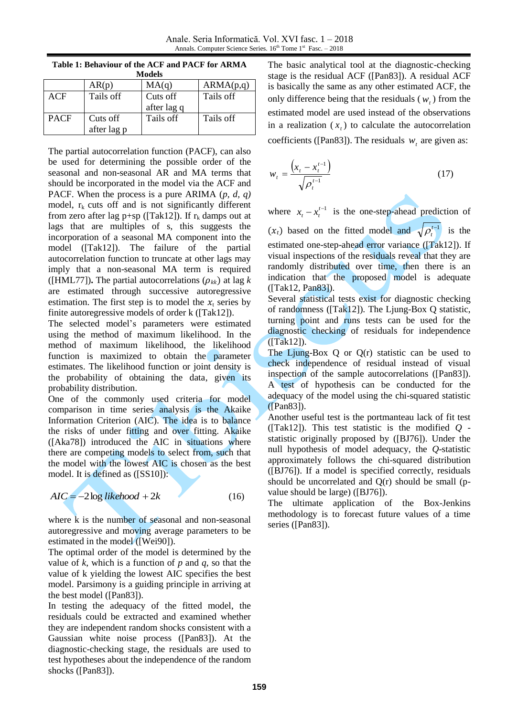| ivioueis    |             |             |           |  |
|-------------|-------------|-------------|-----------|--|
|             | AR(p)       | MA(q)       | ARMA(p,q) |  |
| ACF         | Tails off   | Cuts off    | Tails off |  |
|             |             | after lag q |           |  |
| <b>PACF</b> | Cuts off    | Tails off   | Tails off |  |
|             | after lag p |             |           |  |

**Table 1: Behaviour of the ACF and PACF for ARMA Models**

The partial autocorrelation function (PACF), can also be used for determining the possible order of the seasonal and non-seasonal AR and MA terms that should be incorporated in the model via the ACF and PACF. When the process is a pure ARIMA (*p, d, q)*  model,  $r_k$  cuts off and is not significantly different from zero after lag p+sp ([Tak12]). If  $r_k$  damps out at lags that are multiples of s, this suggests the incorporation of a seasonal MA component into the model ([Tak12]). The failure of the partial autocorrelation function to truncate at other lags may imply that a non-seasonal MA term is required ([HML77]). The partial autocorrelations  $(\rho_{kk})$  at lag k are estimated through successive autoregressive estimation. The first step is to model the  $x_t$  series by finite autoregressive models of order k ([Tak12]).

The selected model's parameters were estimated using the method of maximum likelihood. In the method of maximum likelihood, the likelihood function is maximized to obtain the parameter estimates. The likelihood function or joint density is the probability of obtaining the data, given its probability distribution.

One of the commonly used criteria for model comparison in time series analysis is the Akaike Information Criterion (AIC). The idea is to balance the risks of under fitting and over fitting. Akaike ([Aka78]) introduced the AIC in situations where there are competing models to select from, such that the model with the lowest AIC is chosen as the best model. It is defined as ([SS10]):

$$
AIC = -2\log likelihood + 2k \tag{16}
$$

where k is the number of seasonal and non-seasonal autoregressive and moving average parameters to be estimated in the model ([Wei90]).

The optimal order of the model is determined by the value of  $k$ , which is a function of  $p$  and  $q$ , so that the value of k yielding the lowest AIC specifies the best model. Parsimony is a guiding principle in arriving at the best model ([Pan83]).

In testing the adequacy of the fitted model, the residuals could be extracted and examined whether they are independent random shocks consistent with a Gaussian white noise process ([Pan83]). At the diagnostic-checking stage, the residuals are used to test hypotheses about the independence of the random shocks ([Pan83]).

The basic analytical tool at the diagnostic-checking stage is the residual ACF ([Pan83]). A residual ACF is basically the same as any other estimated ACF, the only difference being that the residuals ( $w_t$ ) from the estimated model are used instead of the observations in a realization  $(x_t)$  to calculate the autocorrelation coefficients ([Pan83]). The residuals  $w_t$  are given as:

$$
w_{t} = \frac{\left(x_{t} - x_{t}^{t-1}\right)}{\sqrt{\rho_{t}^{t-1}}}
$$
\n(17)

where  $x_t - x_t^{t-1}$  $x_t - x_t^{t-1}$  is the one-step-ahead prediction of  $(x_t)$  based on the fitted model and  $\sqrt{\rho_t^{t-1}}$  is the estimated one-step-ahead error variance ([Tak12]). If visual inspections of the residuals reveal that they are randomly distributed over time, then there is an indication that the proposed model is adequate  $([Tak12, Pan83]).$ 

Several statistical tests exist for diagnostic checking of randomness ([Tak12]). The Ljung-Box Q statistic, turning point and runs tests can be used for the diagnostic checking of residuals for independence ([Tak12]).

The Ljung-Box Q or Q(r) statistic can be used to check independence of residual instead of visual inspection of the sample autocorrelations ([Pan83]). A test of hypothesis can be conducted for the adequacy of the model using the chi-squared statistic ([Pan83]).

Another useful test is the portmanteau lack of fit test ([Tak12]). This test statistic is the modified *Q*  statistic originally proposed by ([BJ76]). Under the null hypothesis of model adequacy, the *Q*-statistic approximately follows the chi-squared distribution ([BJ76]). If a model is specified correctly, residuals should be uncorrelated and Q(r) should be small (pvalue should be large) ([BJ76]).

The ultimate application of the Box-Jenkins methodology is to forecast future values of a time series ([Pan83]).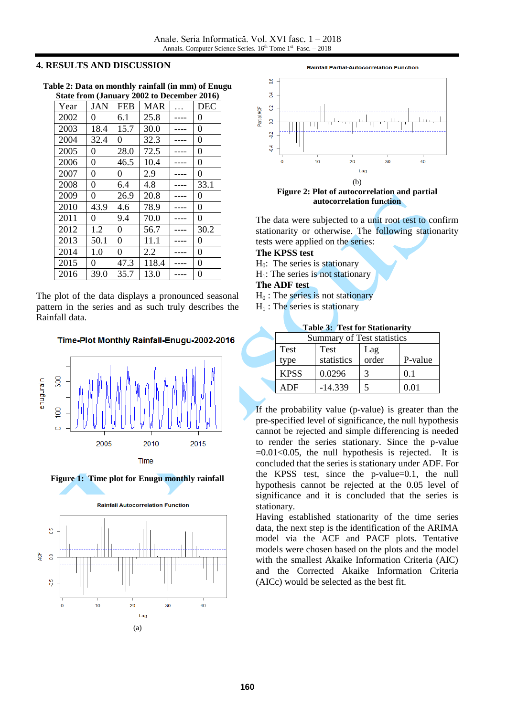#### **4. RESULTS AND DISCUSSION**

| State II oni (Janual y 2002 to December 2010) |                |                |            |  |                  |
|-----------------------------------------------|----------------|----------------|------------|--|------------------|
| Year                                          | <b>JAN</b>     | <b>FEB</b>     | <b>MAR</b> |  | <b>DEC</b>       |
| 2002                                          | 0              | 6.1            | 25.8       |  | 0                |
| 2003                                          | 18.4           | 15.7           | 30.0       |  | 0                |
| 2004                                          | 32.4           | 0              | 32.3       |  | $\boldsymbol{0}$ |
| 2005                                          | $\overline{0}$ | 28.0           | 72.5       |  | $\overline{0}$   |
| 2006                                          | $\overline{0}$ | 46.5           | 10.4       |  | $\theta$         |
| 2007                                          | $\theta$       | 0              | 2.9        |  | $\overline{0}$   |
| 2008                                          | $\overline{0}$ | 6.4            | 4.8        |  | 33.1             |
| 2009                                          | 0              | 26.9           | 20.8       |  | $\overline{0}$   |
| 2010                                          | 43.9           | 4.6            | 78.9       |  | $\overline{0}$   |
| 2011                                          | 0              | 9.4            | 70.0       |  | $\overline{0}$   |
| 2012                                          | 1.2            | $\overline{0}$ | 56.7       |  | 30.2             |
| 2013                                          | 50.1           | $\overline{0}$ | 11.1       |  | 0                |
| 2014                                          | 1.0            | 0              | 2.2        |  | 0                |
| 2015                                          | 0              | 47.3           | 118.4      |  | 0                |
| 2016                                          | 39.0           | 35.7           | 13.0       |  | 0                |

**Table 2: Data on monthly rainfall (in mm) of Enugu State from (January 2002 to December 2016)**

The plot of the data displays a pronounced seasonal pattern in the series and as such truly describes the Rainfall data.

Time-Plot Monthly Rainfall-Enugu-2002-2016









The data were subjected to a unit root test to confirm stationarity or otherwise. The following stationarity tests were applied on the series:

## **The KPSS test**

- $H<sub>0</sub>$ : The series is stationary
- $H<sub>1</sub>$ : The series is not stationary
- **The ADF test**
- $H<sub>0</sub>$ : The series is not stationary
- $H_1$ : The series is stationary

| Summary of Test statistics        |            |       |         |  |  |
|-----------------------------------|------------|-------|---------|--|--|
| <b>Test</b><br><b>Test</b><br>Lag |            |       |         |  |  |
| type                              | statistics | order | P-value |  |  |
| <b>KPSS</b>                       | 0.0296     | 3     | 01      |  |  |
| ADF                               | $-14.339$  |       | 0.01    |  |  |

**Table 3: Test for Stationarity**

If the probability value (p-value) is greater than the pre-specified level of significance, the null hypothesis cannot be rejected and simple differencing is needed to render the series stationary. Since the p-value  $=0.01<0.05$ , the null hypothesis is rejected. It is concluded that the series is stationary under ADF. For the KPSS test, since the p-value=0.1, the null hypothesis cannot be rejected at the 0.05 level of significance and it is concluded that the series is stationary.

Having established stationarity of the time series data, the next step is the identification of the ARIMA model via the ACF and PACF plots. Tentative models were chosen based on the plots and the model with the smallest Akaike Information Criteria (AIC) and the Corrected Akaike Information Criteria (AICc) would be selected as the best fit.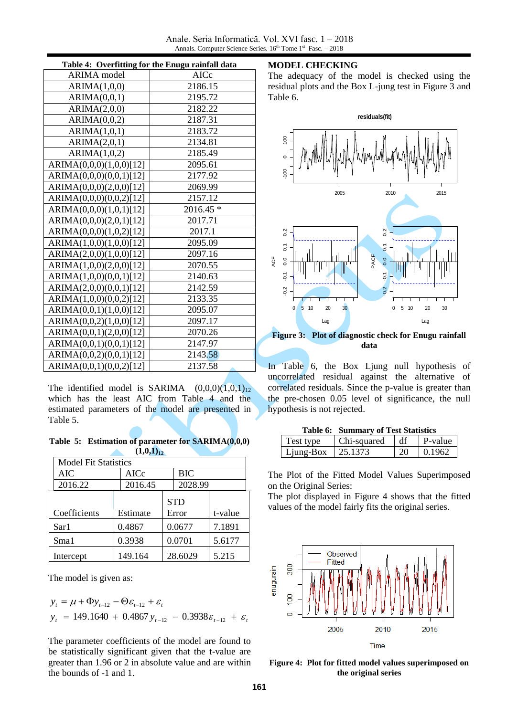Anale. Seria Informatică. Vol. XVI fasc. 1 – 2018 Annals. Computer Science Series.  $16<sup>th</sup>$  Tome  $1<sup>st</sup>$  Fasc.  $-2018$ 

| Table 4: Overfitting for the Enugu rainfall data |           |  |  |
|--------------------------------------------------|-----------|--|--|
| <b>ARIMA</b> model                               | AICc      |  |  |
| ARIMA(1,0,0)                                     | 2186.15   |  |  |
| ARIMA(0,0,1)                                     | 2195.72   |  |  |
| ARIMA(2,0,0)                                     | 2182.22   |  |  |
| ARIMA(0,0,2)                                     | 2187.31   |  |  |
| ARIMA(1,0,1)                                     | 2183.72   |  |  |
| ARIMA(2,0,1)                                     | 2134.81   |  |  |
| ARIMA(1,0,2)                                     | 2185.49   |  |  |
| ARIMA(0,0,0)(1,0,0)[12]                          | 2095.61   |  |  |
| ARIMA(0,0,0)(0,0,1)[12]                          | 2177.92   |  |  |
| ARIMA(0,0,0)(2,0,0)[12]                          | 2069.99   |  |  |
| ARIMA(0,0,0)(0,0,2)[12]                          | 2157.12   |  |  |
| ARIMA(0,0,0)(1,0,1)[12]                          | 2016.45 * |  |  |
| ARIMA(0,0,0)(2,0,1)[12]                          | 2017.71   |  |  |
| ARIMA(0,0,0)(1,0,2)[12]                          | 2017.1    |  |  |
| ARIMA(1,0,0)(1,0,0)[12]                          | 2095.09   |  |  |
| ARIMA(2,0,0)(1,0,0)[12]                          | 2097.16   |  |  |
| ARIMA(1,0,0)(2,0,0)[12]                          | 2070.55   |  |  |
| ARIMA(1,0,0)(0,0,1)[12]                          | 2140.63   |  |  |
| ARIMA(2,0,0)(0,0,1)[12]                          | 2142.59   |  |  |
| ARIMA(1,0,0)(0,0,2)[12]                          | 2133.35   |  |  |
| ARIMA(0,0,1)(1,0,0)[12]                          | 2095.07   |  |  |
| ARIMA(0,0,2)(1,0,0)[12]                          | 2097.17   |  |  |
| ARIMA(0,0,1)(2,0,0)[12]                          | 2070.26   |  |  |
| ARIMA(0,0,1)(0,0,1)[12]                          | 2147.97   |  |  |
| ARIMA(0,0,2)(0,0,1)[12]                          | 2143.58   |  |  |
| ARIMA(0,0,1)(0,0,2)[12]                          | 2137.58   |  |  |

The identified model is SARIMA  $(0,0,0)(1,0,1)_{12}$ which has the least AIC from Table 4 and the estimated parameters of the model are presented in Table 5.

**Table 5: Estimation of parameter for SARIMA(0,0,0)**   $(1,0,1)_{12}$ 

| <b>Model Fit Statistics</b> |             |            |            |         |
|-----------------------------|-------------|------------|------------|---------|
| AIC                         | <b>AICc</b> |            | <b>BIC</b> |         |
| 2016.22                     | 2016.45     |            | 2028.99    |         |
|                             |             | <b>STD</b> |            |         |
| Coefficients                | Estimate    |            | Error      | t-value |
| Sar1                        | 0.4867      |            | 0.0677     | 7.1891  |
| Sma1                        | 0.3938      |            | 0.0701     | 5.6177  |
| Intercept                   | 149.164     |            | 28.6029    | 5.215   |

The model is given as:

$$
y_{t} = \mu + \Phi y_{t-12} - \Theta \varepsilon_{t-12} + \varepsilon_{t}
$$
  

$$
y_{t} = 149.1640 + 0.4867 y_{t-12} - 0.3938 \varepsilon_{t-12} + \varepsilon_{t}
$$

The parameter coefficients of the model are found to be statistically significant given that the t-value are greater than 1.96 or 2 in absolute value and are within the bounds of -1 and 1.

## **MODEL CHECKING**

The adequacy of the model is checked using the residual plots and the Box L-jung test in Figure 3 and Table 6.



**Figure 3: Plot of diagnostic check for Enugu rainfall data**

In Table 6, the Box Ljung null hypothesis of uncorrelated residual against the alternative of correlated residuals. Since the p-value is greater than the pre-chosen 0.05 level of significance, the null hypothesis is not rejected.

|                       | <b>Table 6: Summary of Test Statistics</b> |      |         |  |  |
|-----------------------|--------------------------------------------|------|---------|--|--|
| Test type             | Chi-squared                                | l df | P-value |  |  |
| Ljung-Box   $25.1373$ |                                            | 20   | 0.1962  |  |  |

The Plot of the Fitted Model Values Superimposed on the Original Series:

The plot displayed in Figure 4 shows that the fitted values of the model fairly fits the original series.



**Figure 4: Plot for fitted model values superimposed on the original series**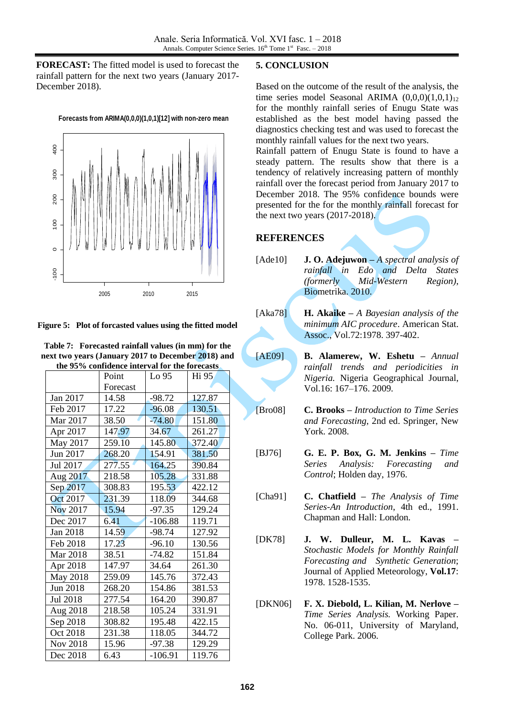**FORECAST:** The fitted model is used to forecast the rainfall pattern for the next two years (January 2017- December 2018).



**Figure 5: Plot of forcasted values using the fitted model**

| Table 7: Forecasted rainfall values (in mm) for the |  |
|-----------------------------------------------------|--|
| next two years (January 2017 to December 2018) and  |  |
| the 95% confidence interval for the forecasts       |  |

| the 95% confidence interval for the forecasts |          |           |        |  |
|-----------------------------------------------|----------|-----------|--------|--|
|                                               | Point    | Lo 95     | Hi 95  |  |
|                                               | Forecast |           |        |  |
| Jan 2017                                      | 14.58    | $-98.72$  | 127.87 |  |
| Feb 2017                                      | 17.22    | $-96.08$  | 130.51 |  |
| Mar 2017                                      | 38.50    | $-74.80$  | 151.80 |  |
| Apr 2017                                      | 147.97   | 34.67     | 261.27 |  |
| May 2017                                      | 259.10   | 145.80    | 372.40 |  |
| Jun 2017                                      | 268.20   | 154.91    | 381.50 |  |
| Jul 2017                                      | 277.55   | 164.25    | 390.84 |  |
| Aug 2017                                      | 218.58   | 105.28    | 331.88 |  |
| Sep 2017                                      | 308.83   | 195.53    | 422.12 |  |
| Oct 2017                                      | 231.39   | 118.09    | 344.68 |  |
| Nov 2017                                      | 15.94    | $-97.35$  | 129.24 |  |
| Dec 2017                                      | 6.41     | $-106.88$ | 119.71 |  |
| Jan 2018                                      | 14.59    | $-98.74$  | 127.92 |  |
| Feb 2018                                      | 17.23    | $-96.10$  | 130.56 |  |
| Mar 2018                                      | 38.51    | $-74.82$  | 151.84 |  |
| Apr 2018                                      | 147.97   | 34.64     | 261.30 |  |
| May 2018                                      | 259.09   | 145.76    | 372.43 |  |
| Jun 2018                                      | 268.20   | 154.86    | 381.53 |  |
| Jul 2018                                      | 277.54   | 164.20    | 390.87 |  |
| Aug 2018                                      | 218.58   | 105.24    | 331.91 |  |
| Sep 2018                                      | 308.82   | 195.48    | 422.15 |  |
| Oct 2018                                      | 231.38   | 118.05    | 344.72 |  |
| Nov 2018                                      | 15.96    | $-97.38$  | 129.29 |  |
| Dec 2018                                      | 6.43     | $-106.91$ | 119.76 |  |

#### **5. CONCLUSION**

Based on the outcome of the result of the analysis, the time series model Seasonal ARIMA  $(0,0,0)(1,0,1)_{12}$ for the monthly rainfall series of Enugu State was established as the best model having passed the diagnostics checking test and was used to forecast the monthly rainfall values for the next two years.

Rainfall pattern of Enugu State is found to have a steady pattern. The results show that there is a tendency of relatively increasing pattern of monthly rainfall over the forecast period from January 2017 to December 2018. The 95% confidence bounds were presented for the for the monthly rainfall forecast for the next two years (2017-2018).

## **REFERENCES**

[Ade10] **J. O. Adejuwon –** *A spectral analysis of rainfall in Edo and Delta States (formerly Mid-Western Region)*, Biometrika. 2010.

[Aka78] **H. Akaike –** *A Bayesian analysis of the minimum AIC procedure*. American Stat. Assoc., Vol.72:1978. 397-402.

[AE09] **B. Alamerew, W. Eshetu –** *Annual rainfall trends and periodicities in Nigeria.* Nigeria Geographical Journal, Vol.16: 167–176. 2009.

[Bro08] **C. Brooks –** *Introduction to Time Series and Forecasting*, 2nd ed. Springer, New York. 2008.

- [BJ76] **G. E. P. Box, G. M. Jenkins –** *Time Series Analysis: Forecasting and Control*; Holden day, 1976.
- [Cha91] **C. Chatfield –** *The Analysis of Time Series-An Introduction*, 4th ed., 1991. Chapman and Hall: London.
- [DK78] **J. W. Dulleur, M. L. Kavas –** *Stochastic Models for Monthly Rainfall Forecasting and Synthetic Generation*; Journal of Applied Meteorology, **Vol.17**: 1978. 1528-1535.
- [DKN06] **F. X. Diebold, L. Kilian, M. Nerlove –** *Time Series Analysis.* Working Paper. No. 06-011, University of Maryland, College Park. 2006.